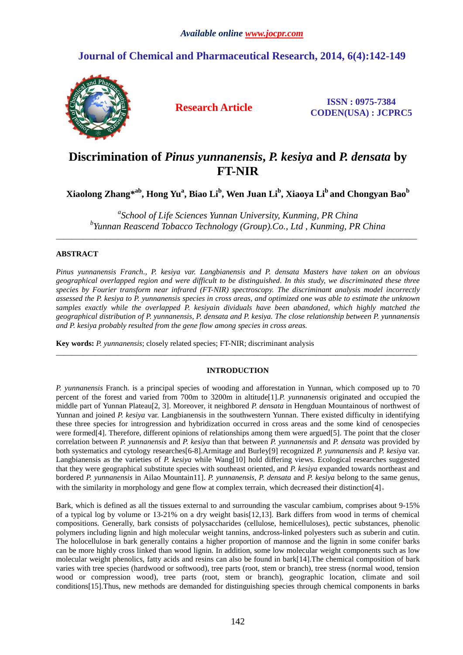# **Journal of Chemical and Pharmaceutical Research, 2014, 6(4):142-149**



**Research Article ISSN : 0975-7384 CODEN(USA) : JCPRC5**

# **Discrimination of** *Pinus yunnanensis***,** *P. kesiya* **and** *P. densata* **by FT-NIR**

**Xiaolong Zhang\* ab, Hong Yu<sup>a</sup> , Biao Li<sup>b</sup> , Wen Juan Li<sup>b</sup> , Xiaoya Li<sup>b</sup> and Chongyan Bao<sup>b</sup>**

*a School of Life Sciences Yunnan University, Kunming, PR China b Yunnan Reascend Tobacco Technology (Group).Co., Ltd , Kunming, PR China*

\_\_\_\_\_\_\_\_\_\_\_\_\_\_\_\_\_\_\_\_\_\_\_\_\_\_\_\_\_\_\_\_\_\_\_\_\_\_\_\_\_\_\_\_\_\_\_\_\_\_\_\_\_\_\_\_\_\_\_\_\_\_\_\_\_\_\_\_\_\_\_\_\_\_\_\_\_\_\_\_\_\_\_\_\_\_\_\_\_\_\_\_\_

## **ABSTRACT**

*Pinus yunnanensis Franch., P. kesiya var. Langbianensis and P. densata Masters have taken on an obvious geographical overlapped region and were difficult to be distinguished. In this study, we discriminated these three species by Fourier transform near infrared (FT-NIR) spectroscopy. The discriminant analysis model incorrectly assessed the P. kesiya to P. yunnanensis species in cross areas, and optimized one was able to estimate the unknown samples exactly while the overlapped P. kesiyain dividuals have been abandoned, which highly matched the geographical distribution of P. yunnanensis, P. densata and P. kesiya. The close relationship between P. yunnanensis and P. kesiya probably resulted from the gene flow among species in cross areas.*

**Key words:** *P. yunnanensis*; closely related species; FT-NIR; discriminant analysis

## **INTRODUCTION**

\_\_\_\_\_\_\_\_\_\_\_\_\_\_\_\_\_\_\_\_\_\_\_\_\_\_\_\_\_\_\_\_\_\_\_\_\_\_\_\_\_\_\_\_\_\_\_\_\_\_\_\_\_\_\_\_\_\_\_\_\_\_\_\_\_\_\_\_\_\_\_\_\_\_\_\_\_\_\_\_\_\_\_\_\_\_\_\_\_\_\_\_\_

*P. yunnanensis* Franch. is a principal species of wooding and afforestation in Yunnan, which composed up to 70 percent of the forest and varied from 700m to 3200m in altitude[1].*P. yunnanensis* originated and occupied the middle part of Yunnan Plateau[2, 3]. Moreover, it neighbored *P. densata* in Hengduan Mountainous of northwest of Yunnan and joined *P. kesiya* var. Langbianensis in the southwestern Yunnan. There existed difficulty in identifying these three species for introgression and hybridization occurred in cross areas and the some kind of cenospecies were formed[4]. Therefore, different opinions of relationships among them were argued[5]. The point that the closer correlation between *P. yunnanensis* and *P. kesiya* than that between *P. yunnanensis* and *P. densata* was provided by both systematics and cytology researches[6-8].Armitage and Burley[9] recognized *P. yunnanensis* and *P. kesiya* var. Langbianensis as the varieties of *P. kesiya* while Wang[10] hold differing views. Ecological researches suggested that they were geographical substitute species with southeast oriented, and *P. kesiya* expanded towards northeast and bordered *P. yunnanensis* in Ailao Mountain11]. *P. yunnanensis*, *P. densata* and *P. kesiya* belong to the same genus, with the similarity in morphology and gene flow at complex terrain, which decreased their distinction[4].

Bark, which is defined as all the tissues external to and surrounding the vascular cambium, comprises about 9-15% of a typical log by volume or 13-21% on a dry weight basis[12,13]. Bark differs from wood in terms of chemical compositions. Generally, bark consists of polysaccharides (cellulose, hemicelluloses), pectic substances, phenolic polymers including lignin and high molecular weight tannins, andcross-linked polyesters such as suberin and cutin. The holocellulose in bark generally contains a higher proportion of mannose and the lignin in some conifer barks can be more highly cross linked than wood lignin. In addition, some low molecular weight components such as low molecular weight phenolics, fatty acids and resins can also be found in bark[14].The chemical composition of bark varies with tree species (hardwood or softwood), tree parts (root, stem or branch), tree stress (normal wood, tension wood or compression wood), tree parts (root, stem or branch), geographic location, climate and soil conditions[15].Thus, new methods are demanded for distinguishing species through chemical components in barks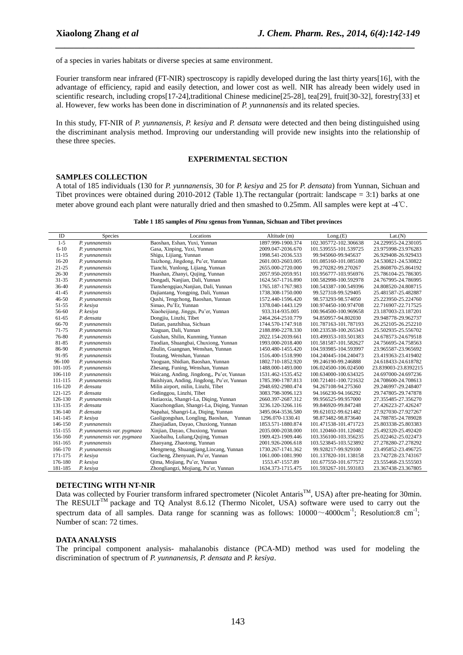of a species in varies habitats or diverse species at same environment.

Fourier transform near infrared (FT-NIR) spectroscopy is rapidly developed during the last thirty years[16], with the advantage of efficiency, rapid and easily detection, and lower cost as well. NIR has already been widely used in scientific research, including crops[17-24],traditional Chinese medicine[25-28], tea[29], fruit[30-32], forestry[33] et al. However, few works has been done in discrimination of *P. yunnanensis* and its related species.

*\_\_\_\_\_\_\_\_\_\_\_\_\_\_\_\_\_\_\_\_\_\_\_\_\_\_\_\_\_\_\_\_\_\_\_\_\_\_\_\_\_\_\_\_\_\_\_\_\_\_\_\_\_\_\_\_\_\_\_\_\_\_\_\_\_\_\_\_\_\_\_\_\_\_\_\_\_*

In this study, FT-NIR of *P. yunnanensis, P. kesiya* and *P. densata* were detected and then being distinguished using the discriminant analysis method. Improving our understanding will provide new insights into the relationship of these three species.

## **EXPERIMENTAL SECTION**

### **SAMPLES COLLECTION**

A total of 185 individuals (130 for *P. yunnanensis*, 30 for *P. kesiya* and 25 for *P. densata*) from Yunnan, Sichuan and Tibet provinces were obtained during 2010-2012 (Table 1).The rectangular (portrait: landscape = 3:1) barks at one meter above ground each plant were naturally dried and then smashed to 0.25mm. All samples were kept at -4℃.

| Table 1 185 samples of <i>Pinu sgenus from Yunnan</i> , Sichuan and Tibet provinces |  |  |
|-------------------------------------------------------------------------------------|--|--|
|                                                                                     |  |  |

| ID         | Species                     | Locations                                  | Altitude (m)      | Long.E(E)             | Lat.(N)              |
|------------|-----------------------------|--------------------------------------------|-------------------|-----------------------|----------------------|
| $1 - 5$    | P. vunnanensis              | Baoshan, Eshan, Yuxi, Yunnan               | 1897.999-1900.374 | 102.305772-102.306638 | 24.229955-24.230105  |
| $6 - 10$   | P. vunnanensis              | Gasa, Xinping, Yuxi, Yunnan                | 2009.047-2036.670 | 101.539555-101.539725 | 23.975998-23.976283  |
| $11 - 15$  | P. vunnanensis              | Shigu, Lijiang, Yunnan                     | 1998.541-2036.533 | 99.945060-99.945637   | 26.929408-26.929433  |
| $16 - 20$  | P. vunnanensis              | Taizhong, Jingdong, Pu'er, Yunnan          | 2601.003-2603.005 | 101.085160-101.085180 | 24.530821-24.530822  |
| $21 - 25$  | P. vunnanensis              | Tianchi, Yunlong, Lijiang, Yunnan          | 2655.000-2720.000 | 99.270282-99.270267   | 25.860870-25.864192  |
| $26 - 30$  | P. vunnanensis              | Huashan, Zhanyi, Qujing, Yunnan            | 2057.950-2059.951 | 103.956777-103.956976 | 25.786104-25.786305  |
| $31 - 35$  | P. vunnanensis              | Dongadi, Nanjian, Dali, Yunnan             | 1624.567-1716.890 | 100.582998-100.592978 | 24.767995-24.786995  |
| 36-40      | P. vunnanensis              | Tianshengqiao, Nanjian, Dali, Yunnan       | 1765.187-1767.983 | 100.543387-100.549396 | 24.808520-24.808715  |
| $41 - 45$  | P. yunnanensis              | Dajiantang, Yongping, Dali, Yunnan         | 1738.308-1750.000 | 99.527318-99.529405   | 25.481587-25.482887  |
| $46 - 50$  | P. vunnanensis              | Qushi, Tengchong, Baoshan, Yunnan          | 1572.440-1596.420 | 98.573293-98.574050   | 25.223950-25.224760  |
| 51-55      | P. kesiya                   | Simao, Pu'Er, Yunnan                       | 1378.040-1443.129 | 100.974450-100.974708 | 22.716907-22.717525  |
| 56-60      | P. kesiya                   | Xiaoheijiang, Jinggu, Pu'er, Yunnan        | 933.314-935.005   | 100.964500-100.969658 | 23.187003-23.187201  |
| $61 - 65$  | P. densata                  | Dongjiu, Linzhi, Tibet                     | 2464.264-2510.779 | 94.850957-94.802030   | 29.948778-29.962737  |
| 66-70      | P. vunnanensis              | Datian, panzhihua, Sichuan                 | 1744.570-1747.918 | 101.787163-101.787193 | 26.252105-26.252210  |
| 71-75      | P. yunnanensis              | Xiaguan, Dali, Yunnan                      | 2188.890-2278.330 | 100.233538-100.265343 | 25.502935-25.556702  |
| 76-80      | P. vunnanensis              | Guishan, Shilin, Kunming, Yunnan           | 2022.154-2039.661 | 103.499353-103.501383 | 24.678573-24.679518  |
| 81-85      | P. yunnanensis              | Tuodian, Shuangbai, Chuxiong, Yunnan       | 1993.000-2018.400 | 101.581587-101.582627 | 24.756695-24.758563  |
| 86-90      | P. vunnanensis              | Zhulin, Guangnan, Wenshan, Yunnan          | 1450.480-1455.420 | 104.593985-104.593997 | 23.965587-23.965692  |
| 91-95      | P. vunnanensis              | Toutang, Wenshan, Yunnan                   | 1516.400-1518.990 | 104.240445-104.240473 | 23.419363-23.419402  |
| $96 - 100$ | P. yunnanensis              | Yaoguan, Shidian, Baoshan, Yunnan          | 1802.710-1852.920 | 99.246190-99.246888   | 24.618433-24.618782  |
| 101-105    | P. vunnanensis              | Zhesang, Funing, Wenshan, Yunnan           | 1488.000-1493.000 | 106.024500-106.024500 | 23.839003-23.8392215 |
| 106-110    | P. yunnanensis              | Waicang, Anding, Jingdong,, Pu'er, Yunnan  | 1531.462-1535.452 | 100.634000-100.634325 | 24.697000-24.697236  |
| 111-115    | P. vunnanensis              | Baishiyan, Anding, Jingdong, Pu'er, Yunnan | 1785.390-1787.813 | 100.721401-100.721632 | 24.708600-24.708613  |
| 116-120    | P. densata                  | Milin airport, milin, Linzhi, Tibet        | 2948.692-2980.474 | 94.267108-94.275360   | 29.246997-29.248407  |
| 121-125    | P. densata                  | Gedinggou, Linzhi, Tibet                   | 3083.798-3096.123 | 94.166230-94.166292   | 29.747805-29.747878  |
| 126-130    | P. vunnanensis              | Hutiaoxia, Shangri-La, Diging, Yunnan      | 2660.397-2687.312 | 99.956525-99.957000   | 27.355485-27.356270  |
| 131-135    | P. densata                  | Xiaozhongdian, Shangri-La, Diqing, Yunnan  | 3236.120-3266.116 | 99.846920-99.847248   | 27.426223-27.426247  |
| 136-140    | P. densata                  | Napahai, Shangri-La, Diqing, Yunnan        | 3495.064-3536.580 | 99.621032-99.621482   | 27.927030-27.927267  |
| 141-145    | P. kesiya                   | Gaoligongshan, Longling, Baoshan, Yunnan   | 1296.070-1330.41  | 98.873482-98.873640   | 24.788785-24.789028  |
| 146-150    | P. vunnanensis              | Zhaojiadian, Dayao, Chuxiong, Yunnan       | 1853.571-1880.874 | 101.471538-101.471723 | 25.803338-25.803383  |
| 151-155    | P. vunnanensis var. pygmaea | Xinjian, Dayao, Chuxiong, Yunnan           | 2035.000-2038.000 | 101.120460-101.120482 | 25.492320-25.492420  |
| 156-160    | P. yunnanensis var. pygmaea | Xiaobaihu, Luliang, Qujing, Yunnan         | 1909.423-1909.446 | 103.356100-103.356235 | 25.022462-25.022473  |
| 161-165    | P. vunnanensis              | Zhaoyang, Zhaotong, Yunnan                 | 2001.926-2006.618 | 103.523845-103.523892 | 27.278280-27.278292  |
| 166-170    | P. vunnanensis              | Mengmeng, Shuangjiang, Lincang, Yunnan     | 1730.267-1741.362 | 99.928217-99.929100   | 23.495852-23.496725  |
| 171-175    | P. kesiya                   | Gucheng, Zhenyuan, Pu'er, Yunnan           | 1061.000-1081.990 | 101.137820-101.138158 | 23.742728-23.743167  |
| 176-180    | P. kesiya                   | Oima, Mojiang, Pu'er, Yunnan               | 1553.47-1557.89   | 101.677550-101.677572 | 23.555468-23.555503  |
| 181-185    | P. kesiya                   | Zhongliangzi, Mojiang, Pu'er, Yunnan       | 1634.373-1715.475 | 101.593267-101.593183 | 23.367438-23.367805  |

## **DETECTING WITH NT-NIR**

Data was collected by Fourier transform infrared spectrometer (Nicolet Antaris<sup>TM</sup>, USA) after pre-heating for 30min. The RESULT<sup>TM</sup> package and TQ Analyst 8.6.12 (Thermo Nicolet, USA) software were used to carry out the spectrum data of all samples. Data range for scanning was as follows:  $10000 \sim 4000 \text{cm}^{-1}$ ; Resolution:8 cm<sup>-1</sup>; Number of scan: 72 times.

## **DATA ANALYSIS**

The principal component analysis- mahalanobis distance (PCA-MD) method was used for modeling the discrimination of spectrum of *P. yunnanensis*, *P. densata* and *P. kesiya*.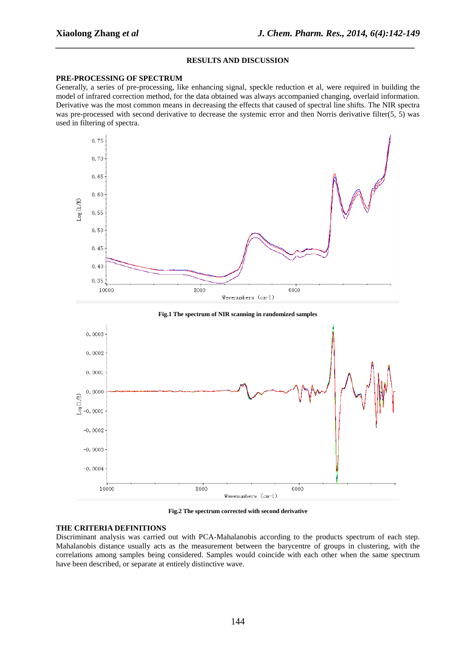## **RESULTS AND DISCUSSION**

*\_\_\_\_\_\_\_\_\_\_\_\_\_\_\_\_\_\_\_\_\_\_\_\_\_\_\_\_\_\_\_\_\_\_\_\_\_\_\_\_\_\_\_\_\_\_\_\_\_\_\_\_\_\_\_\_\_\_\_\_\_\_\_\_\_\_\_\_\_\_\_\_\_\_\_\_\_*

### **PRE-PROCESSING OF SPECTRUM**

Generally, a series of pre-processing, like enhancing signal, speckle reduction et al, were required in building the model of infrared correction method, for the data obtained was always accompanied changing, overlaid information. Derivative was the most common means in decreasing the effects that caused of spectral line shifts. The NIR spectra was pre-processed with second derivative to decrease the systemic error and then Norris derivative filter(5, 5) was used in filtering of spectra.



**Fig.2 The spectrum corrected with second derivative**

## **THE CRITERIA DEFINITIONS**

Discriminant analysis was carried out with PCA-Mahalanobis according to the products spectrum of each step. Mahalanobis distance usually acts as the measurement between the barycentre of groups in clustering, with the correlations among samples being considered. Samples would coincide with each other when the same spectrum have been described, or separate at entirely distinctive wave.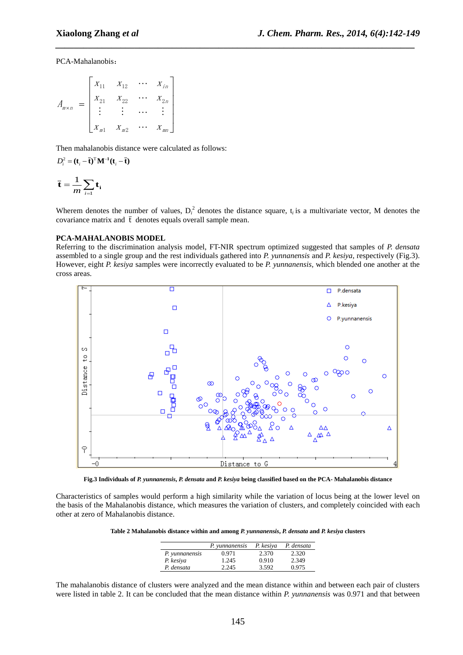PCA-Mahalanobis:

$$
A_{m \times n} = \begin{bmatrix} x_{11} & x_{12} & \cdots & x_{in} \\ x_{21} & x_{22} & \cdots & x_{2n} \\ \vdots & \vdots & \cdots & \vdots \\ x_{m1} & x_{m2} & \cdots & x_{mn} \end{bmatrix}
$$

Then mahalanobis distance were calculated as follows:

$$
D_i^2 = (\mathbf{t}_i - \bar{\mathbf{t}})^{\mathrm{T}} \mathbf{M}^{-1} (\mathbf{t}_i - \bar{\mathbf{t}})
$$

$$
\bar{\mathbf{t}} = \frac{1}{m} \sum_{i=1}^m \mathbf{t}_i
$$

Wherem denotes the number of values,  $D_i^2$  denotes the distance square,  $t_i$  is a multivariate vector, M denotes the [covariance matrix](http://en.wikipedia.org/wiki/Covariance_matrix) and  $\bar{t}$  denotes equals overall sample mean.

*\_\_\_\_\_\_\_\_\_\_\_\_\_\_\_\_\_\_\_\_\_\_\_\_\_\_\_\_\_\_\_\_\_\_\_\_\_\_\_\_\_\_\_\_\_\_\_\_\_\_\_\_\_\_\_\_\_\_\_\_\_\_\_\_\_\_\_\_\_\_\_\_\_\_\_\_\_*

## **PCA-MAHALANOBIS MODEL**

Referring to the discrimination analysis model, FT-NIR spectrum optimized suggested that samples of *P. densata* assembled to a single group and the rest individuals gathered into *P. yunnanensis* and *P. kesiya*, respectively (Fig.3). However, eight *P. kesiya* samples were incorrectly evaluated to be *P. yunnanensis*, which blended one another at the cross areas.



**Fig.3 Individuals of** *P. yunnanensis***,** *P. densata* **and** *P. kesiya* **being classified based on the PCA- Mahalanobis distance**

Characteristics of samples would perform a high similarity while the variation of locus being at the lower level on the basis of the Mahalanobis distance, which measures the variation of clusters, and completely coincided with each other at zero of Mahalanobis distance.

**Table 2 Mahalanobis distance within and among** *P. yunnanensis***,** *P. densata* **and** *P. kesiya* **clusters**

|                | P. yunnanensis | P. kesiya | P. densata |
|----------------|----------------|-----------|------------|
| P. vunnanensis | 0.971          | 2.370     | 2.320      |
| P. kesiya      | 1.245          | 0.910     | 2.349      |
| P. densata     | 2.245          | 3.592     | 0.975      |

The mahalanobis distance of clusters were analyzed and the mean distance within and between each pair of clusters were listed in table 2. It can be concluded that the mean distance within *P. yunnanensis* was 0.971 and that between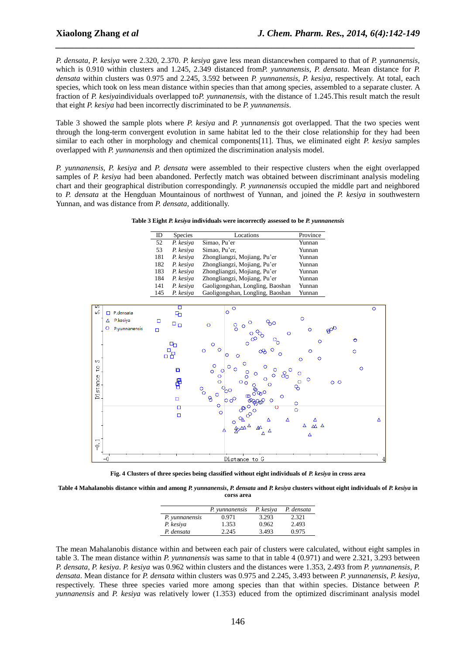*P. densata*, *P. kesiya* were 2.320, 2.370. *P. kesiya* gave less mean distancewhen compared to that of *P. yunnanensis*, which is 0.910 within clusters and 1.245, 2.349 distanced from*P. yunnanensis*, *P. densata*. Mean distance for *P. densata* within clusters was 0.975 and 2.245, 3.592 between *P. yunnanensis*, *P. kesiya*, respectively. At total, each species, which took on less mean distance within species than that among species, assembled to a separate cluster. A fraction of *P. kesiya*individuals overlapped to*P. yunnanensis*, with the distance of 1.245.This result match the result that eight *P. kesiya* had been incorrectly discriminated to be *P. yunnanensis*.

*\_\_\_\_\_\_\_\_\_\_\_\_\_\_\_\_\_\_\_\_\_\_\_\_\_\_\_\_\_\_\_\_\_\_\_\_\_\_\_\_\_\_\_\_\_\_\_\_\_\_\_\_\_\_\_\_\_\_\_\_\_\_\_\_\_\_\_\_\_\_\_\_\_\_\_\_\_*

Table 3 showed the sample plots where *P. kesiya* and *P. yunnanensis* got overlapped. That the two species went through the long-term convergent evolution in same habitat led to the their close relationship for they had been similar to each other in morphology and chemical components[11]. Thus, we eliminated eight *P. kesiya* samples overlapped with *P. yunnanensis* and then optimized the discrimination analysis model.

*P. yunnanensis*, *P. kesiya* and *P. densata* were assembled to their respective clusters when the eight overlapped samples of *P. kesiya* had been abandoned. Perfectly match was obtained between discriminant analysis modeling chart and their geographical distribution correspondingly. *P. yunnanensis* occupied the middle part and neighbored to *P. densata* at the Hengduan Mountainous of northwest of Yunnan, and joined the *P. kesiya* in southwestern Yunnan, and was distance from *P. densata*, additionally.

**Table 3 Eight** *P. kesiya* **individuals were incorrectly assessed to be** *P. yunnanensis*

| ID  | <b>Species</b> | Locations                        | Province |
|-----|----------------|----------------------------------|----------|
| 52  | P. kesiya      | Simao, Pu'er                     | Yunnan   |
| 53  | P. kesiya      | Simao, Pu'er,                    | Yunnan   |
| 181 | P. kesiya      | Zhongliangzi, Mojiang, Pu'er     | Yunnan   |
| 182 | P. kesiya      | Zhongliangzi, Mojiang, Pu'er     | Yunnan   |
| 183 | P. kesiya      | Zhongliangzi, Mojiang, Pu'er     | Yunnan   |
| 184 | P. kesiya      | Zhongliangzi, Mojiang, Pu'er     | Yunnan   |
| 141 | P. kesiya      | Gaoligongshan, Longling, Baoshan | Yunnan   |
| 145 | P. kesiya      | Gaoligongshan, Longling, Baoshan | Yunnan   |



**Fig. 4 Clusters of three species being classified without eight individuals of** *P. kesiya* **in cross area**

**Table 4 Mahalanobis distance within and among** *P. yunnanensis***,** *P. densata* **and** *P. kesiya* **clusters without eight individuals of** *P. kesiya* **in corss area**

|                | P. yunnanensis | P. kesiya | P. densata |
|----------------|----------------|-----------|------------|
| P. yunnanensis | 0.971          | 3.293     | 2.321      |
| P. kesiya      | 1.353          | 0.962     | 2.493      |
| P. densata     | 2.245          | 3.493     | 0.975      |

The mean Mahalanobis distance within and between each pair of clusters were calculated, without eight samples in table 3. The mean distance within *P. yunnanensis* was same to that in table 4 (0.971) and were 2.321, 3.293 between *P. densata*, *P. kesiya*. *P. kesiya* was 0.962 within clusters and the distances were 1.353, 2.493 from *P. yunnanensis*, *P. densata*. Mean distance for *P. densata* within clusters was 0.975 and 2.245, 3.493 between *P. yunnanensis*, *P. kesiya*, respectively. These three species varied more among species than that within species. Distance between *P. yunnanensis* and *P. kesiya* was relatively lower (1.353) educed from the optimized discriminant analysis model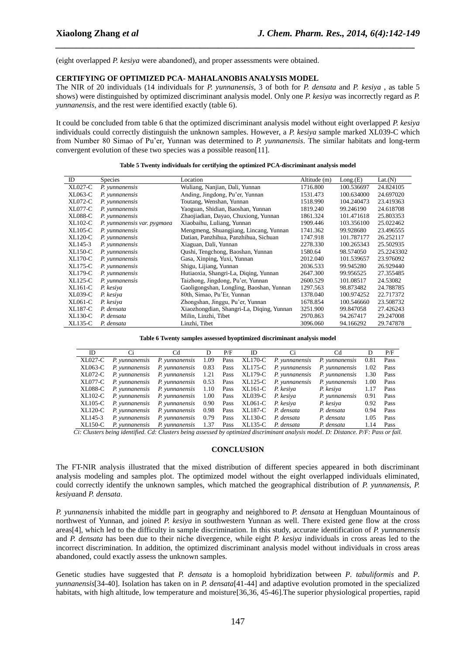(eight overlapped *P. kesiya* were abandoned), and proper assessments were obtained.

#### **CERTIFYING OF OPTIMIZED PCA- MAHALANOBIS ANALYSIS MODEL**

The NIR of 20 individuals (14 individuals for *P. yunnanensis*, 3 of both for *P. densata* and *P. kesiya* , as table 5 shows) were distinguished by optimized discriminant analysis model. Only one *P. kesiya* was incorrectly regard as *P. yunnanensis*, and the rest were identified exactly (table 6).

*\_\_\_\_\_\_\_\_\_\_\_\_\_\_\_\_\_\_\_\_\_\_\_\_\_\_\_\_\_\_\_\_\_\_\_\_\_\_\_\_\_\_\_\_\_\_\_\_\_\_\_\_\_\_\_\_\_\_\_\_\_\_\_\_\_\_\_\_\_\_\_\_\_\_\_\_\_*

It could be concluded from table 6 that the optimized discriminant analysis model without eight overlapped *P. kesiya* individuals could correctly distinguish the unknown samples. However, a *P. kesiya* sample marked XL039-C which from Number 80 Simao of Pu'er, Yunnan was determined to *P. yunnanensis*. The similar habitats and long-term convergent evolution of these two species was a possible reason[11].

| ID             | <b>Species</b>              | Location                                  | Altitude (m) | Long(E)    | Lat.(N)    |
|----------------|-----------------------------|-------------------------------------------|--------------|------------|------------|
| XL027-C        | P. vunnanensis              | Wuliang, Nanjian, Dali, Yunnan            | 1716.800     | 100.536697 | 24.824105  |
| XL063-C        | P. vunnanensis              | Anding, Jingdong, Pu'er, Yunnan           | 1531.473     | 100.634000 | 24.697020  |
| <b>XL072-C</b> | P. vunnanensis              | Toutang, Wenshan, Yunnan                  | 1518.990     | 104.240473 | 23.419363  |
| <b>XL077-C</b> | P. yunnanensis              | Yaoguan, Shidian, Baoshan, Yunnan         | 1819.240     | 99.246190  | 24.618708  |
| <b>XL088-C</b> | P. vunnanensis              | Zhaojiadian, Dayao, Chuxiong, Yunnan      | 1861.324     | 101.471618 | 25.803353  |
| <b>XL102-C</b> | P. yunnanensis var. pygmaea | Xiaobaihu, Luliang, Yunnan                | 1909.446     | 103.356100 | 25.022462  |
| <b>XL105-C</b> | P. yunnanensis              | Mengmeng, Shuangjiang, Lincang, Yunnan    | 1741.362     | 99.928680  | 23.496555  |
| $XL120-C$      | P. vunnanensis              | Datian, Panzhihua, Panzhihua, Sichuan     | 1747.918     | 101.787177 | 26.252117  |
| XL145-3        | P. vunnanensis              | Xiaguan, Dali, Yunnan                     | 2278.330     | 100.265343 | 25.502935  |
| <b>XL150-C</b> | P. vunnanensis              | Qushi, Tengchong, Baoshan, Yunnan         | 1580.64      | 98.574050  | 25.2243302 |
| <b>XL170-C</b> | P. yunnanensis              | Gasa, Xinping, Yuxi, Yunnan               | 2012.040     | 101.539657 | 23.976092  |
| XL175-C        | P. vunnanensis              | Shigu, Lijiang, Yunnan                    | 2036.533     | 99.945280  | 26.929440  |
| <b>XL179-C</b> | P. vunnanensis              | Hutiaoxia, Shangri-La, Diqing, Yunnan     | 2647.300     | 99.956525  | 27.355485  |
| $XL125-C$      | P. vunnanensis              | Taizhong, Jingdong, Pu'er, Yunnan         | 2600.529     | 101.08517  | 24.53082   |
| $XL161-C$      | P. kesiya                   | Gaoligongshan, Longling, Baoshan, Yunnan  | 1297.563     | 98.873482  | 24.788785  |
| XL039-C        | P. kesiya                   | 80th, Simao, Pu'Er, Yunnan                | 1378.040     | 100.974252 | 22.717372  |
| $XLO61-C$      | P. kesiya                   | Zhongshan, Jinggu, Pu'er, Yunnan          | 1678.854     | 100.546660 | 23.508732  |
| XL187-C        | P. densata                  | Xiaozhongdian, Shangri-La, Diqing, Yunnan | 3251.900     | 99.847058  | 27.426243  |
| $XL130-C$      | P. densata                  | Milin, Linzhi, Tibet                      | 2970.863     | 94.267417  | 29.247008  |
| XL135-C        | P. densata                  | Linzhi, Tibet                             | 3096.060     | 94.166292  | 29.747878  |

|  |  | Table 5 Twenty individuals for certifying the optimized PCA-discriminant analysis model |  |  |  |  |  |  |
|--|--|-----------------------------------------------------------------------------------------|--|--|--|--|--|--|
|--|--|-----------------------------------------------------------------------------------------|--|--|--|--|--|--|

**Table 6 Twenty samples assessed byoptimized discriminant analysis model**

| ID.     | Ci             | Cd                                 | D    | P/F  | ID                | Ci                     | Cd             | D    | P/F  |
|---------|----------------|------------------------------------|------|------|-------------------|------------------------|----------------|------|------|
| XL027-C | P. vunnanensis | P. vunnanensis                     | 1.09 | Pass |                   | XL170-C P. vunnanensis | P. vunnanensis | 0.81 | Pass |
| XL063-C | P. vunnanensis | P. vunnanensis                     | 0.83 | Pass | XL175-C           | P. yunnanensis         | P. vunnanensis | 1.02 | Pass |
| XL072-C | P. vunnanensis | P. vunnanensis 1.21 Pass           |      |      | XL179-C           | P. vunnanensis         | P. vunnanensis | 1.30 | Pass |
| XL077-C | P. vunnanensis | P. yunnanensis 0.53                |      | Pass |                   | XL125-C P. yunnanensis | P. vunnanensis | 1.00 | Pass |
| XL088-C | P. vunnanensis | <i>P. vunnanensis</i> 1.10 Pass    |      |      | XL161-C P. kesiya |                        | P. kesiya      | 1.17 | Pass |
| XL102-C |                | P. yunnanensis P. yunnanensis 1.00 |      | Pass | XL039-C           | P. kesiva              | P. yunnanensis | 0.91 | Pass |
| XL105-C | P. vunnanensis | P. vunnanensis                     | 0.90 | Pass | XL061-C           | P. kesiya              | P. kesiya      | 0.92 | Pass |
| XL120-C | P. vunnanensis | P. vunnanensis                     | 0.98 | Pass | XL187-C           | P. densata             | P. densata     | 0.94 | Pass |
| XL145-3 | P. vunnanensis | P. vunnanensis                     | 0.79 | Pass | XL130-C           | P. densata             | P. densata     | 1.05 | Pass |
| XL150-C | P. vunnanensis | P. vunnanensis                     | 1.37 | Pass | XL135-C           | P. densata             | P. densata     | 1.14 | Pass |

*Ci: Clusters being identified. Cd: Clusters being assessed by optimized discriminant analysis model. D: Distance. P/F: Pass or fail.*

#### **CONCLUSION**

The FT-NIR analysis illustrated that the mixed distribution of different species appeared in both discriminant analysis modeling and samples plot. The optimized model without the eight overlapped individuals eliminated, could correctly identify the unknown samples, which matched the geographical distribution of *P. yunnanensis, P. kesiya*and *P. densata*.

*P. yunnanensis* inhabited the middle part in geography and neighbored to *P. densata* at Hengduan Mountainous of northwest of Yunnan, and joined *P. kesiya* in southwestern Yunnan as well. There existed gene flow at the cross areas[4], which led to the difficulty in sample discrimination. In this study, accurate identification of *P. yunnanensis* and *P. densata* has been due to their niche divergence, while eight *P. kesiya* individuals in cross areas led to the incorrect discrimination. In addition, the optimized discriminant analysis model without individuals in cross areas abandoned, could exactly assess the unknown samples.

Genetic studies have suggested that *P. densata* is a homoploid hybridization between *P. tabuliformis* and *P. yunnanensis*[34-40]. Isolation has taken on in *P. densata*[41-44] and adaptive evolution promoted in the specialized habitats, with high altitude, low temperature and moisture[36,36, 45-46].The superior physiological properties, rapid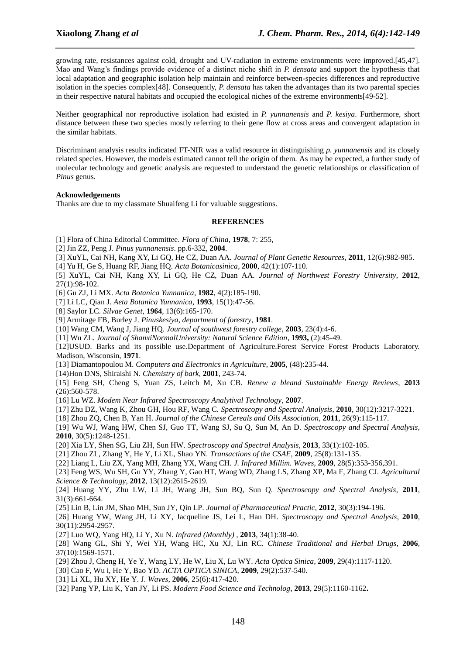growing rate, resistances against cold, drought and UV-radiation in extreme environments were improved.[45,47]. Mao and Wang's findings provide evidence of a distinct niche shift in *P. densata* and support the hypothesis that local adaptation and geographic isolation help maintain and reinforce between-species differences and reproductive isolation in the species complex[48]. Consequently, *P. densata* has taken the advantages than its two parental species in their respective natural habitats and occupied the ecological niches of the extreme environments[49-52].

*\_\_\_\_\_\_\_\_\_\_\_\_\_\_\_\_\_\_\_\_\_\_\_\_\_\_\_\_\_\_\_\_\_\_\_\_\_\_\_\_\_\_\_\_\_\_\_\_\_\_\_\_\_\_\_\_\_\_\_\_\_\_\_\_\_\_\_\_\_\_\_\_\_\_\_\_\_*

Neither geographical nor reproductive isolation had existed in *P. yunnanensis* and *P. kesiya*. Furthermore, short distance between these two species mostly referring to their gene flow at cross areas and convergent adaptation in the similar habitats.

Discriminant analysis results indicated FT-NIR was a valid resource in distinguishing *p. yunnanensis* and its closely related species. However, the models estimated cannot tell the origin of them. As may be expected, a further study of molecular technology and genetic analysis are requested to understand the genetic relationships or classification of *Pinus* genus.

## **Acknowledgements**

Thanks are due to my classmate Shuaifeng Li for valuable suggestions.

## **REFERENCES**

- [1] Flora of China Editorial Committee. *Flora of China*, **1978**, 7: 255,
- [2] Jin ZZ, Peng J. *Pinus yunnanensis*. pp.6-332, **2004**.
- [3] XuYL, Cai NH, Kang XY, Li GQ, He CZ, Duan AA. *Journal of Plant Genetic Resources*, **2011**, 12(6):982-985.
- [4] Yu H, Ge S, Huang RF, Jiang HQ. *Acta Botanicasinica*, **2000**, 42(1):107-110.
- [5] XuYL, Cai NH, Kang XY, Li GQ, He CZ, Duan AA. *Journal of Northwest Forestry University*, **2012**, 27(1):98-102.
- [6] Gu ZJ, Li MX. *Acta Botanica Yunnanica*, **1982**, 4(2):185-190.
- [7] Li LC, Qian J. *Aeta Botanica Yunnanica*, **1993**, 15(1):47-56.
- [8] Saylor LC. *Silvae Genet*, **1964**, 13(6):165-170.
- [9] Armitage FB, Burley J. *Pinuskesiya, department of forestry*, **1981**.
- [10] Wang CM, Wang J, Jiang HQ. *Journal of southwest forestry college*, **2003**, 23(4):4-6.
- [11] Wu ZL. *Journal of ShanxiNormalUniversity: Natural Science Edition*, **1993,** (2):45-49.
- [12]USUD. Barks and its possible use.Department of Agriculture.Forest Service Forest Products Laboratory. Madison, Wisconsin, **1971**.
- [13] Diamantopoulou M. *Computers and Electronics in Agriculture*, **2005**, (48):235-44.
- [14)Hon DNS, Shiraishi N. *Chemistry of bark*, **2001**, 243-74.
- [15] Feng SH, Cheng S, Yuan ZS, Leitch M, Xu CB. *Renew a bleand Sustainable Energy Reviews*, **2013** (26):560-578.
- [16] Lu WZ. *Modem Near Infrared Spectroscopy Analytival Technology*, **2007**.
- [17] Zhu DZ, Wang K, Zhou GH, Hou RF, Wang C. *Spectroscopy and Spectral Analysis*, **2010**, 30(12):3217-3221.
- [18] Zhou ZQ, Chen B, Yan H. *Journal of the Chinese Cereals and Oils Association*, **2011**, 26(9):115-117.
- [19] Wu WJ, Wang HW, Chen SJ, Guo TT, Wang SJ, Su Q, Sun M, An D. *Spectroscopy and Spectral Analysis*, **2010**, 30(5):1248-1251.
- [20] Xia LY, Shen SG, Liu ZH, Sun HW. *Spectroscopy and Spectral Analysis*, **2013**, 33(1):102-105.
- [21] Zhou ZL, Zhang Y, He Y, Li XL, Shao YN. *Transactions of the CSAE*, **2009**, 25(8):131-135.
- [22] Liang L, Liu ZX, Yang MH, Zhang YX, Wang CH. *J. Infrared Millim. Waves*, **2009**, 28(5):353-356,391.
- [23] Feng WS, Wu SH, Gu YY, Zhang Y, Gao HT, Wang WD, Zhang LS, Zhang XP, Ma F, Zhang CJ. *Agricultural Science & Technology*, **2012**, 13(12):2615-2619.
- [24] Huang YY, Zhu LW, Li JH, Wang JH, Sun BQ, Sun Q. *Spectroscopy and Spectral Analysis*, **2011**, 31(3):661-664.
- [25] Lin B, Lin JM, Shao MH, Sun JY, Qin LP. *Journal of Pharmaceutical Practic*, **2012**, 30(3):194-196.
- [26] Huang YW, Wang JH, Li XY, Jacqueline JS, Lei L, Han DH. *Spectroscopy and Spectral Analysis*, **2010**, 30(11):2954-2957.
- [27] Luo WQ, Yang HQ, Li Y, Xu N. *Infrared (Monthly)* , **2013**, 34(1):38-40.
- [28] Wang GL, Shi Y, Wei YH, Wang HC, Xu XJ, Lin RC. *Chinese Traditional and Herbal Drugs*, **2006**, 37(10):1569-1571.
- [29] Zhou J, Cheng H, Ye Y, Wang LY, He W, Liu X, Lu WY. *Acta Optica Sinica*, **2009**, 29(4):1117-1120.
- [30] Cao F, Wu i, He Y, Bao YD. *ACTA OPTICA SINICA*, **2009**, 29(2):537-540.
- [31] Li XL, Hu XY, He Y. J. *Waves*, **2006**, 25(6):417-420.
- [32] Pang YP, Liu K, Yan JY, Li PS. *Modern Food Science and Technolog*, **2013**, 29(5):1160-1162**.**